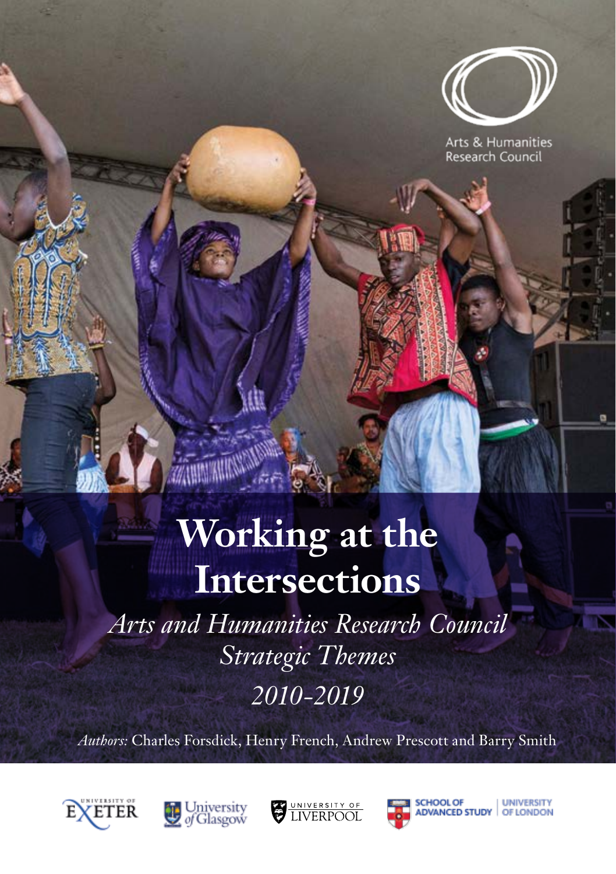

Arts & Humanities **Research Council** 

# **Working at the Intersections**

*Arts and Humanities Research Council Strategic Themes 2010-2019*

*Authors:* Charles Forsdick, Henry French, Andrew Prescott and Barry Smith









**LINIVERSITY** 

OF LONDON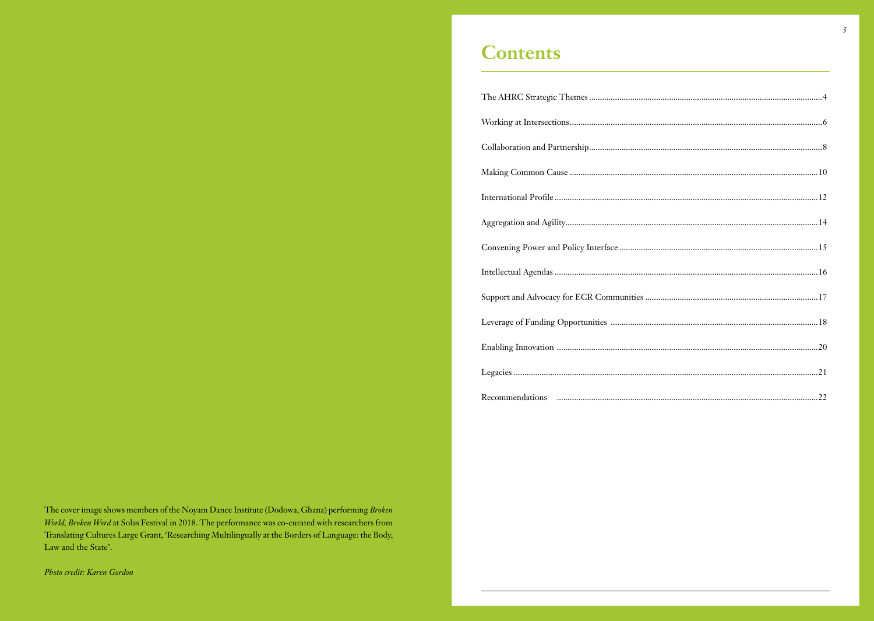Photo credit: Karen Gordon

### **Contents**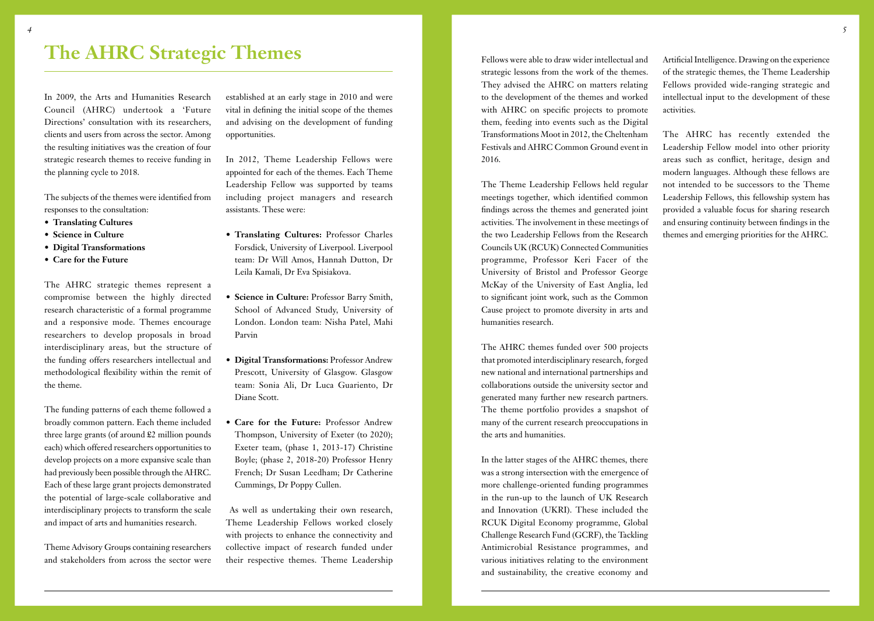### <span id="page-2-0"></span>**The AHRC Strategic Themes**

In 2009, the Arts and Humanities Research Council (AHRC) undertook a 'Future Directions' consultation with its researchers, clients and users from across the sector. Among the resulting initiatives was the creation of four strategic research themes to receive funding in the planning cycle to 2018.

The subjects of the themes were identified from responses to the consultation:

- **• Translating Cultures**
- **• Science in Culture**
- **• Digital Transformations**
- **• Care for the Future**

The AHRC strategic themes represent a compromise between the highly directed research characteristic of a formal programme and a responsive mode. Themes encourage researchers to develop proposals in broad interdisciplinary areas, but the structure of the funding offers researchers intellectual and methodological flexibility within the remit of the theme.

The funding patterns of each theme followed a broadly common pattern. Each theme included three large grants (of around £2 million pounds each) which offered researchers opportunities to develop projects on a more expansive scale than had previously been possible through the AHRC. Each of these large grant projects demonstrated the potential of large-scale collaborative and interdisciplinary projects to transform the scale and impact of arts and humanities research.

Theme Advisory Groups containing researchers and stakeholders from across the sector were

established at an early stage in 2010 and were vital in defining the initial scope of the themes and advising on the development of funding opportunities.

In 2012, Theme Leadership Fellows were appointed for each of the themes. Each Theme Leadership Fellow was supported by teams including project managers and research assistants. These were:

- **• Translating Cultures:** Professor Charles Forsdick, University of Liverpool. Liverpool team: Dr Will Amos, Hannah Dutton, Dr Leila Kamali, Dr Eva Spisiakova.
- **• Science in Culture:** Professor Barry Smith, School of Advanced Study, University of London. London team: Nisha Patel, Mahi Parvin
- **• Digital Transformations:** Professor Andrew Prescott, University of Glasgow. Glasgow team: Sonia Ali, Dr Luca Guariento, Dr Diane Scott.
- **• Care for the Future:** Professor Andrew Thompson, University of Exeter (to 2020); Exeter team, (phase 1, 2013-17) Christine Boyle; (phase 2, 2018-20) Professor Henry French; Dr Susan Leedham; Dr Catherine Cummings, Dr Poppy Cullen.

 As well as undertaking their own research, Theme Leadership Fellows worked closely with projects to enhance the connectivity and collective impact of research funded under their respective themes. Theme Leadership Fellows were able to draw wider intellectual and strategic lessons from the work of the themes. They advised the AHRC on matters relating to the development of the themes and worked with AHRC on specific projects to promote them, feeding into events such as the Digital Transformations Moot in 2012, the Cheltenham Festivals and AHRC Common Ground event in 2016.

The Theme Leadership Fellows held regular meetings together, which identified common findings across the themes and generated joint activities. The involvement in these meetings of the two Leadership Fellows from the Research Councils UK (RCUK) Connected Communities programme, Professor Keri Facer of the University of Bristol and Professor George McKay of the University of East Anglia, led to significant joint work, such as the Common Cause project to promote diversity in arts and humanities research.

The AHRC themes funded over 500 projects that promoted interdisciplinary research, forged new national and international partnerships and collaborations outside the university sector and generated many further new research partners. The theme portfolio provides a snapshot of many of the current research preoccupations in the arts and humanities.

In the latter stages of the AHRC themes, there was a strong intersection with the emergence of more challenge-oriented funding programmes in the run-up to the launch of UK Research and Innovation (UKRI). These included the RCUK Digital Economy programme, Global Challenge Research Fund (GCRF), the Tackling Antimicrobial Resistance programmes, and various initiatives relating to the environment and sustainability, the creative economy and

Artificial Intelligence. Drawing on the experience of the strategic themes, the Theme Leadership Fellows provided wide-ranging strategic and intellectual input to the development of these activities.

The AHRC has recently extended the Leadership Fellow model into other priority areas such as conflict, heritage, design and modern languages. Although these fellows are not intended to be successors to the Theme Leadership Fellows, this fellowship system has provided a valuable focus for sharing research and ensuring continuity between findings in the themes and emerging priorities for the AHRC.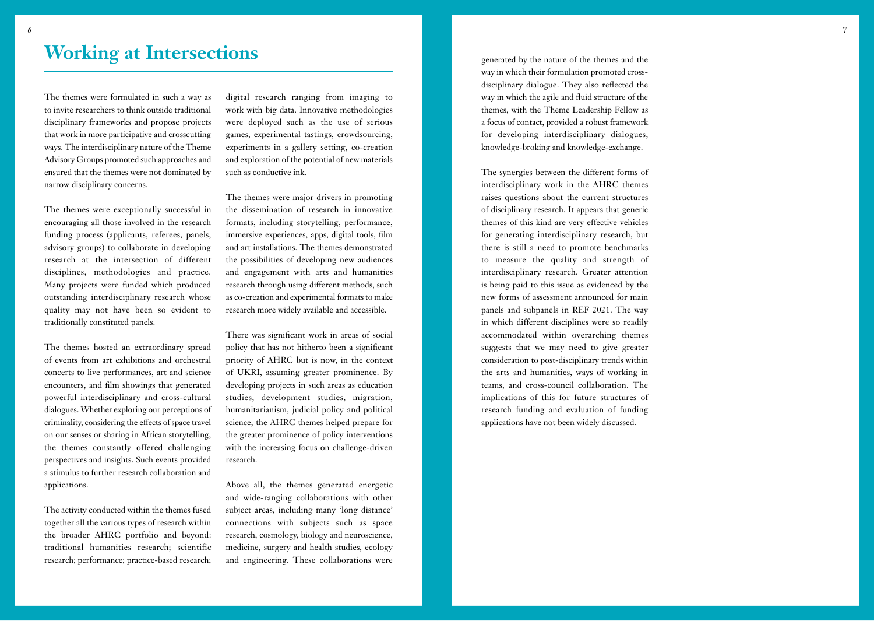#### <span id="page-3-0"></span>**Working at Intersections**

The themes were formulated in such a way as to invite researchers to think outside traditional disciplinary frameworks and propose projects that work in more participative and crosscutting ways. The interdisciplinary nature of the Theme Advisory Groups promoted such approaches and ensured that the themes were not dominated by narrow disciplinary concerns.

The themes were exceptionally successful in encouraging all those involved in the research funding process (applicants, referees, panels, advisory groups) to collaborate in developing research at the intersection of different disciplines, methodologies and practice. Many projects were funded which produced outstanding interdisciplinary research whose quality may not have been so evident to traditionally constituted panels.

The themes hosted an extraordinary spread of events from art exhibitions and orchestral concerts to live performances, art and science encounters, and film showings that generated powerful interdisciplinary and cross-cultural dialogues. Whether exploring our perceptions of criminality, considering the effects of space travel on our senses or sharing in African storytelling, the themes constantly offered challenging perspectives and insights. Such events provided a stimulus to further research collaboration and applications.

The activity conducted within the themes fused together all the various types of research within the broader AHRC portfolio and beyond: traditional humanities research; scientific research; performance; practice-based research;

digital research ranging from imaging to work with big data. Innovative methodologies were deployed such as the use of serious games, experimental tastings, crowdsourcing, experiments in a gallery setting, co-creation and exploration of the potential of new materials such as conductive ink.

The themes were major drivers in promoting the dissemination of research in innovative formats, including storytelling, performance, immersive experiences, apps, digital tools, film and art installations. The themes demonstrated the possibilities of developing new audiences and engagement with arts and humanities research through using different methods, such as co-creation and experimental formats to make research more widely available and accessible.

There was significant work in areas of social policy that has not hitherto been a significant priority of AHRC but is now, in the context of UKRI, assuming greater prominence. By developing projects in such areas as education studies, development studies, migration, humanitarianism, judicial policy and political science, the AHRC themes helped prepare for the greater prominence of policy interventions with the increasing focus on challenge-driven research.

Above all, the themes generated energetic and wide-ranging collaborations with other subject areas, including many 'long distance' connections with subjects such as space research, cosmology, biology and neuroscience, medicine, surgery and health studies, ecology and engineering. These collaborations were generated by the nature of the themes and the way in which their formulation promoted crossdisciplinary dialogue. They also reflected the way in which the agile and fluid structure of the themes, with the Theme Leadership Fellow as a focus of contact, provided a robust framework for developing interdisciplinary dialogues, knowledge-broking and knowledge-exchange.

The synergies between the different forms of interdisciplinary work in the AHRC themes raises questions about the current structures of disciplinary research. It appears that generic themes of this kind are very effective vehicles for generating interdisciplinary research, but there is still a need to promote benchmarks to measure the quality and strength of interdisciplinary research. Greater attention is being paid to this issue as evidenced by the new forms of assessment announced for main panels and subpanels in REF 2021. The way in which different disciplines were so readily accommodated within overarching themes suggests that we may need to give greater consideration to post-disciplinary trends within the arts and humanities, ways of working in teams, and cross-council collaboration. The implications of this for future structures of research funding and evaluation of funding applications have not been widely discussed.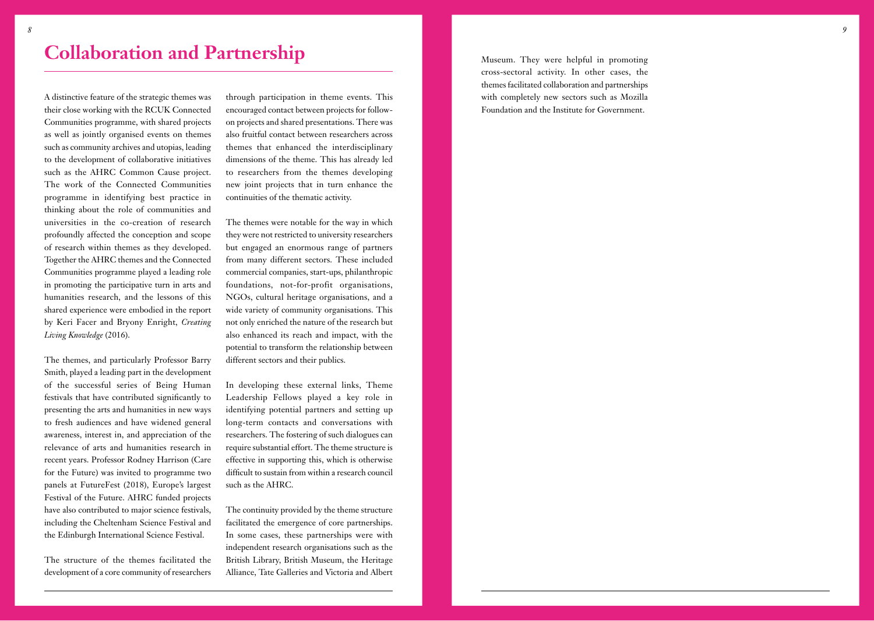## <span id="page-4-0"></span>**Collaboration and Partnership**

A distinctive feature of the strategic themes was their close working with the RCUK Connected Communities programme, with shared projects as well as jointly organised events on themes such as community archives and utopias, leading to the development of collaborative initiatives such as the AHRC Common Cause project. The work of the Connected Communities programme in identifying best practice in thinking about the role of communities and universities in the co-creation of research profoundly affected the conception and scope of research within themes as they developed. Together the AHRC themes and the Connected Communities programme played a leading role in promoting the participative turn in arts and humanities research, and the lessons of this shared experience were embodied in the report by Keri Facer and Bryony Enright, *Creating Living Knowledge* (2016).

The themes, and particularly Professor Barry Smith, played a leading part in the development of the successful series of Being Human festivals that have contributed significantly to presenting the arts and humanities in new ways to fresh audiences and have widened general awareness, interest in, and appreciation of the relevance of arts and humanities research in recent years. Professor Rodney Harrison (Care for the Future) was invited to programme two panels at FutureFest (2018), Europe's largest Festival of the Future. AHRC funded projects have also contributed to major science festivals, including the Cheltenham Science Festival and the Edinburgh International Science Festival.

The structure of the themes facilitated the development of a core community of researchers

through participation in theme events. This encouraged contact between projects for followon projects and shared presentations. There was also fruitful contact between researchers across themes that enhanced the interdisciplinary dimensions of the theme. This has already led to researchers from the themes developing new joint projects that in turn enhance the continuities of the thematic activity.

The themes were notable for the way in which they were not restricted to university researchers but engaged an enormous range of partners from many different sectors. These included commercial companies, start-ups, philanthropic foundations, not-for-profit organisations, NGOs, cultural heritage organisations, and a wide variety of community organisations. This not only enriched the nature of the research but also enhanced its reach and impact, with the potential to transform the relationship between different sectors and their publics.

In developing these external links, Theme Leadership Fellows played a key role in identifying potential partners and setting up long-term contacts and conversations with researchers. The fostering of such dialogues can require substantial effort. The theme structure is effective in supporting this, which is otherwise difficult to sustain from within a research council such as the AHRC.

The continuity provided by the theme structure facilitated the emergence of core partnerships. In some cases, these partnerships were with independent research organisations such as the British Library, British Museum, the Heritage Alliance, Tate Galleries and Victoria and Albert

Museum. They were helpful in promoting cross-sectoral activity. In other cases, the themes facilitated collaboration and partnerships with completely new sectors such as Mozilla Foundation and the Institute for Government.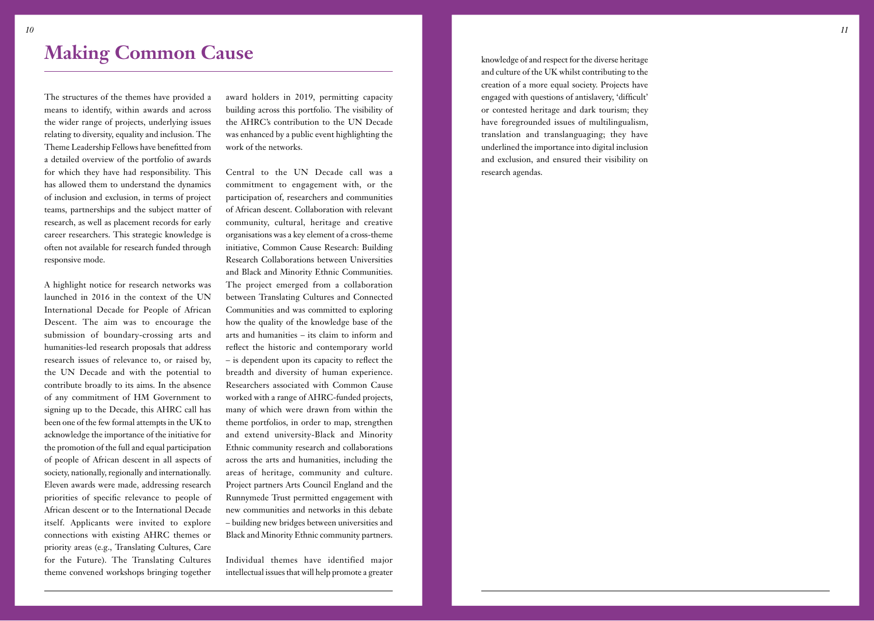<span id="page-5-0"></span>The structures of the themes have provided a means to identify, within awards and across the wider range of projects, underlying issues relating to diversity, equality and inclusion. The Theme Leadership Fellows have benefitted from a detailed overview of the portfolio of awards for which they have had responsibility. This has allowed them to understand the dynamics of inclusion and exclusion, in terms of project teams, partnerships and the subject matter of research, as well as placement records for early career researchers. This strategic knowledge is often not available for research funded through responsive mode.

A highlight notice for research networks was launched in 2016 in the context of the UN International Decade for People of African Descent. The aim was to encourage the submission of boundary-crossing arts and humanities-led research proposals that address research issues of relevance to, or raised by, the UN Decade and with the potential to contribute broadly to its aims. In the absence of any commitment of HM Government to signing up to the Decade, this AHRC call has been one of the few formal attempts in the UK to acknowledge the importance of the initiative for the promotion of the full and equal participation of people of African descent in all aspects of society, nationally, regionally and internationally. Eleven awards were made, addressing research priorities of specific relevance to people of African descent or to the International Decade itself. Applicants were invited to explore connections with existing AHRC themes or priority areas (e.g., Translating Cultures, Care for the Future). The Translating Cultures theme convened workshops bringing together award holders in 2019, permitting capacity building across this portfolio. The visibility of the AHRC's contribution to the UN Decade was enhanced by a public event highlighting the work of the networks.

Central to the UN Decade call was a commitment to engagement with, or the participation of, researchers and communities of African descent. Collaboration with relevant community, cultural, heritage and creative organisations was a key element of a cross-theme initiative, Common Cause Research: Building Research Collaborations between Universities and Black and Minority Ethnic Communities. The project emerged from a collaboration between Translating Cultures and Connected Communities and was committed to exploring how the quality of the knowledge base of the arts and humanities – its claim to inform and reflect the historic and contemporary world – is dependent upon its capacity to reflect the breadth and diversity of human experience. Researchers associated with Common Cause worked with a range of AHRC-funded projects, many of which were drawn from within the theme portfolios, in order to map, strengthen and extend university-Black and Minority Ethnic community research and collaborations across the arts and humanities, including the areas of heritage, community and culture. Project partners Arts Council England and the Runnymede Trust permitted engagement with new communities and networks in this debate – building new bridges between universities and Black and Minority Ethnic community partners.

Individual themes have identified major intellectual issues that will help promote a greater

knowledge of and respect for the diverse heritage and culture of the UK whilst contributing to the creation of a more equal society. Projects have engaged with questions of antislavery, 'difficult' or contested heritage and dark tourism; they have foregrounded issues of multilingualism, translation and translanguaging; they have underlined the importance into digital inclusion and exclusion, and ensured their visibility on research agendas.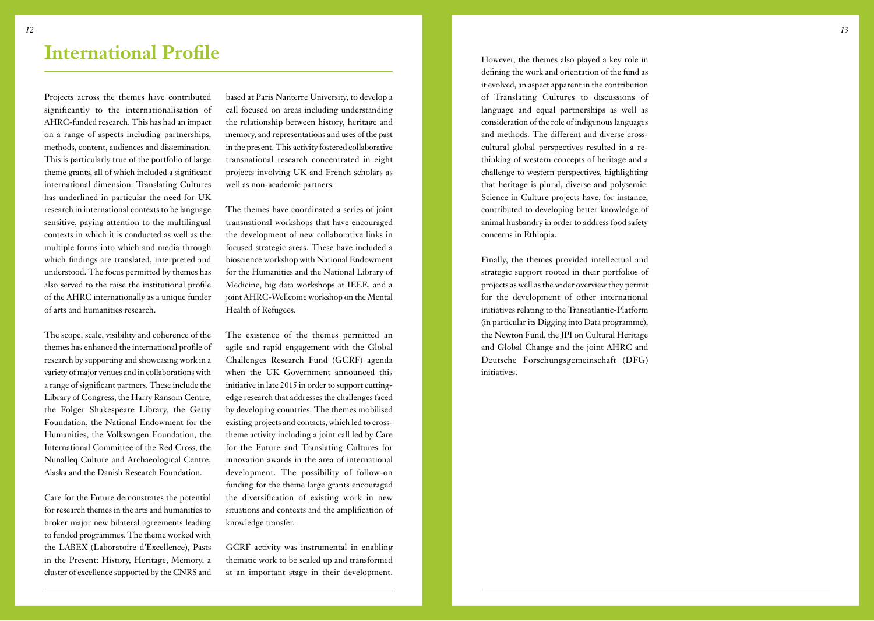#### <span id="page-6-0"></span>**International Profile**

Projects across the themes have contributed significantly to the internationalisation of AHRC-funded research. This has had an impact on a range of aspects including partnerships, methods, content, audiences and dissemination. This is particularly true of the portfolio of large theme grants, all of which included a significant international dimension. Translating Cultures has underlined in particular the need for UK research in international contexts to be language sensitive, paying attention to the multilingual contexts in which it is conducted as well as the multiple forms into which and media through which findings are translated, interpreted and understood. The focus permitted by themes has also served to the raise the institutional profile of the AHRC internationally as a unique funder of arts and humanities research.

The scope, scale, visibility and coherence of the themes has enhanced the international profile of research by supporting and showcasing work in a variety of major venues and in collaborations with a range of significant partners. These include the Library of Congress, the Harry Ransom Centre, the Folger Shakespeare Library, the Getty Foundation, the National Endowment for the Humanities, the Volkswagen Foundation, the International Committee of the Red Cross, the Nunalleq Culture and Archaeological Centre, Alaska and the Danish Research Foundation.

Care for the Future demonstrates the potential for research themes in the arts and humanities to broker major new bilateral agreements leading to funded programmes. The theme worked with the LABEX (Laboratoire d'Excellence), Pasts in the Present: History, Heritage, Memory, a cluster of excellence supported by the CNRS and

based at Paris Nanterre University, to develop a call focused on areas including understanding the relationship between history, heritage and memory, and representations and uses of the past in the present. This activity fostered collaborative transnational research concentrated in eight projects involving UK and French scholars as well as non-academic partners.

The themes have coordinated a series of joint transnational workshops that have encouraged the development of new collaborative links in focused strategic areas. These have included a bioscience workshop with National Endowment for the Humanities and the National Library of Medicine, big data workshops at IEEE, and a joint AHRC-Wellcome workshop on the Mental Health of Refugees.

The existence of the themes permitted an agile and rapid engagement with the Global Challenges Research Fund (GCRF) agenda when the UK Government announced this initiative in late 2015 in order to support cuttingedge research that addresses the challenges faced by developing countries. The themes mobilised existing projects and contacts, which led to crosstheme activity including a joint call led by Care for the Future and Translating Cultures for innovation awards in the area of international development. The possibility of follow-on funding for the theme large grants encouraged the diversification of existing work in new situations and contexts and the amplification of knowledge transfer.

GCRF activity was instrumental in enabling thematic work to be scaled up and transformed at an important stage in their development.

However, the themes also played a key role in defining the work and orientation of the fund as it evolved, an aspect apparent in the contribution of Translating Cultures to discussions of language and equal partnerships as well as consideration of the role of indigenous languages and methods. The different and diverse crosscultural global perspectives resulted in a rethinking of western concepts of heritage and a challenge to western perspectives, highlighting that heritage is plural, diverse and polysemic. Science in Culture projects have, for instance, contributed to developing better knowledge of animal husbandry in order to address food safety concerns in Ethiopia.

Finally, the themes provided intellectual and strategic support rooted in their portfolios of projects as well as the wider overview they permit for the development of other international initiatives relating to the Transatlantic-Platform (in particular its Digging into Data programme), the Newton Fund, the JPI on Cultural Heritage and Global Change and the joint AHRC and Deutsche Forschungsgemeinschaft (DFG) initiatives.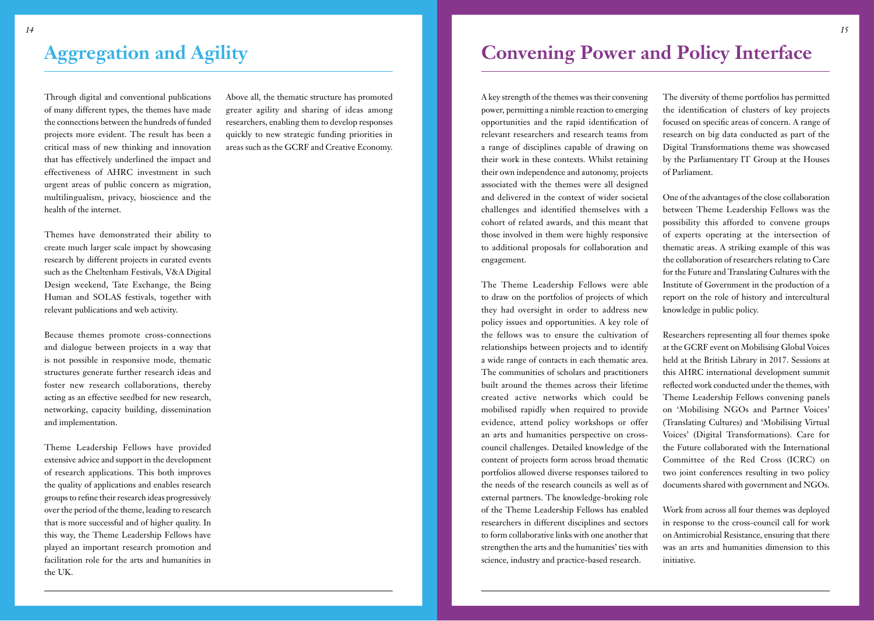## <span id="page-7-0"></span>**Aggregation and Agility**

Through digital and conventional publications of many different types, the themes have made the connections between the hundreds of funded projects more evident. The result has been a critical mass of new thinking and innovation that has effectively underlined the impact and effectiveness of AHRC investment in such urgent areas of public concern as migration, multilingualism, privacy, bioscience and the health of the internet.

Themes have demonstrated their ability to create much larger scale impact by showcasing research by different projects in curated events such as the Cheltenham Festivals, V&A Digital Design weekend, Tate Exchange, the Being Human and SOLAS festivals, together with relevant publications and web activity.

Because themes promote cross-connections and dialogue between projects in a way that is not possible in responsive mode, thematic structures generate further research ideas and foster new research collaborations, thereby acting as an effective seedbed for new research, networking, capacity building, dissemination and implementation.

Theme Leadership Fellows have provided extensive advice and support in the development of research applications. This both improves the quality of applications and enables research groups to refine their research ideas progressively over the period of the theme, leading to research that is more successful and of higher quality. In this way, the Theme Leadership Fellows have played an important research promotion and facilitation role for the arts and humanities in the UK.

Above all, the thematic structure has promoted greater agility and sharing of ideas among researchers, enabling them to develop responses quickly to new strategic funding priorities in areas such as the GCRF and Creative Economy.

#### **Convening Power and Policy Interface**

A key strength of the themes was their convening power, permitting a nimble reaction to emerging opportunities and the rapid identification of relevant researchers and research teams from a range of disciplines capable of drawing on their work in these contexts. Whilst retaining their own independence and autonomy, projects associated with the themes were all designed and delivered in the context of wider societal challenges and identified themselves with a cohort of related awards, and this meant that those involved in them were highly responsive to additional proposals for collaboration and engagement.

The Theme Leadership Fellows were able to draw on the portfolios of projects of which they had oversight in order to address new policy issues and opportunities. A key role of the fellows was to ensure the cultivation of relationships between projects and to identify a wide range of contacts in each thematic area. The communities of scholars and practitioners built around the themes across their lifetime created active networks which could be mobilised rapidly when required to provide evidence, attend policy workshops or offer an arts and humanities perspective on crosscouncil challenges. Detailed knowledge of the content of projects form across broad thematic portfolios allowed diverse responses tailored to the needs of the research councils as well as of external partners. The knowledge-broking role of the Theme Leadership Fellows has enabled researchers in different disciplines and sectors to form collaborative links with one another that strengthen the arts and the humanities' ties with science, industry and practice-based research.

The diversity of theme portfolios has permitted the identification of clusters of key projects focused on specific areas of concern. A range of research on big data conducted as part of the Digital Transformations theme was showcased by the Parliamentary IT Group at the Houses of Parliament.

One of the advantages of the close collaboration between Theme Leadership Fellows was the possibility this afforded to convene groups of experts operating at the intersection of thematic areas. A striking example of this was the collaboration of researchers relating to Care for the Future and Translating Cultures with the Institute of Government in the production of a report on the role of history and intercultural knowledge in public policy.

Researchers representing all four themes spoke at the GCRF event on Mobilising Global Voices held at the British Library in 2017. Sessions at this AHRC international development summit reflected work conducted under the themes, with Theme Leadership Fellows convening panels on 'Mobilising NGOs and Partner Voices' (Translating Cultures) and 'Mobilising Virtual Voices' (Digital Transformations). Care for the Future collaborated with the International Committee of the Red Cross (ICRC) on two joint conferences resulting in two policy documents shared with government and NGOs.

Work from across all four themes was deployed in response to the cross-council call for work on Antimicrobial Resistance, ensuring that there was an arts and humanities dimension to this initiative.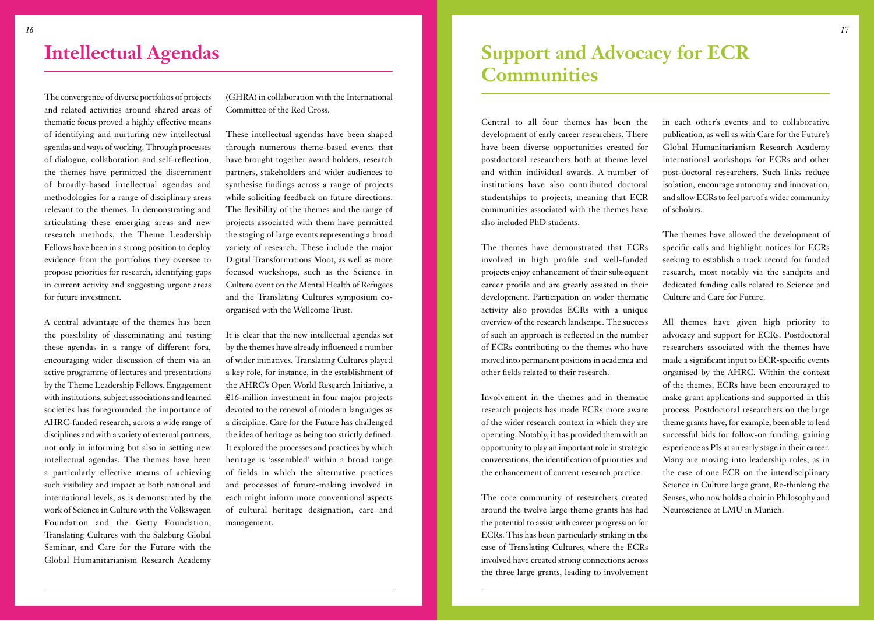#### <span id="page-8-0"></span>**Intellectual Agendas**

The convergence of diverse portfolios of projects and related activities around shared areas of thematic focus proved a highly effective means of identifying and nurturing new intellectual agendas and ways of working. Through processes of dialogue, collaboration and self-reflection, the themes have permitted the discernment of broadly-based intellectual agendas and methodologies for a range of disciplinary areas relevant to the themes. In demonstrating and articulating these emerging areas and new research methods, the Theme Leadership Fellows have been in a strong position to deploy evidence from the portfolios they oversee to propose priorities for research, identifying gaps in current activity and suggesting urgent areas for future investment.

A central advantage of the themes has been the possibility of disseminating and testing these agendas in a range of different fora, encouraging wider discussion of them via an active programme of lectures and presentations by the Theme Leadership Fellows. Engagement with institutions, subject associations and learned societies has foregrounded the importance of AHRC-funded research, across a wide range of disciplines and with a variety of external partners, not only in informing but also in setting new intellectual agendas. The themes have been a particularly effective means of achieving such visibility and impact at both national and international levels, as is demonstrated by the work of Science in Culture with the Volkswagen Foundation and the Getty Foundation, Translating Cultures with the Salzburg Global Seminar, and Care for the Future with the Global Humanitarianism Research Academy (GHRA) in collaboration with the International Committee of the Red Cross.

These intellectual agendas have been shaped through numerous theme-based events that have brought together award holders, research partners, stakeholders and wider audiences to synthesise findings across a range of projects while soliciting feedback on future directions. The flexibility of the themes and the range of projects associated with them have permitted the staging of large events representing a broad variety of research. These include the major Digital Transformations Moot, as well as more focused workshops, such as the Science in Culture event on the Mental Health of Refugees and the Translating Cultures symposium coorganised with the Wellcome Trust.

It is clear that the new intellectual agendas set by the themes have already influenced a number of wider initiatives. Translating Cultures played a key role, for instance, in the establishment of the AHRC's Open World Research Initiative, a £16-million investment in four major projects devoted to the renewal of modern languages as a discipline. Care for the Future has challenged the idea of heritage as being too strictly defined. It explored the processes and practices by which heritage is 'assembled' within a broad range of fields in which the alternative practices and processes of future-making involved in each might inform more conventional aspects of cultural heritage designation, care and management.

#### **Support and Advocacy for ECR Communities**

Central to all four themes has been the development of early career researchers. There have been diverse opportunities created for postdoctoral researchers both at theme level and within individual awards. A number of institutions have also contributed doctoral studentships to projects, meaning that ECR communities associated with the themes have also included PhD students.

The themes have demonstrated that ECRs involved in high profile and well-funded projects enjoy enhancement of their subsequent career profile and are greatly assisted in their development. Participation on wider thematic activity also provides ECRs with a unique overview of the research landscape. The success of such an approach is reflected in the number of ECRs contributing to the themes who have moved into permanent positions in academia and other fields related to their research.

Involvement in the themes and in thematic research projects has made ECRs more aware of the wider research context in which they are operating. Notably, it has provided them with an opportunity to play an important role in strategic conversations, the identification of priorities and the enhancement of current research practice.

The core community of researchers created around the twelve large theme grants has had the potential to assist with career progression for ECRs. This has been particularly striking in the case of Translating Cultures, where the ECRs involved have created strong connections across the three large grants, leading to involvement

in each other's events and to collaborative publication, as well as with Care for the Future's Global Humanitarianism Research Academy international workshops for ECRs and other post-doctoral researchers. Such links reduce isolation, encourage autonomy and innovation, and allow ECRs to feel part of a wider community of scholars.

The themes have allowed the development of specific calls and highlight notices for ECRs seeking to establish a track record for funded research, most notably via the sandpits and dedicated funding calls related to Science and Culture and Care for Future.

All themes have given high priority to advocacy and support for ECRs. Postdoctoral researchers associated with the themes have made a significant input to ECR-specific events organised by the AHRC. Within the context of the themes, ECRs have been encouraged to make grant applications and supported in this process. Postdoctoral researchers on the large theme grants have, for example, been able to lead successful bids for follow-on funding, gaining experience as PIs at an early stage in their career. Many are moving into leadership roles, as in the case of one ECR on the interdisciplinary Science in Culture large grant, Re-thinking the Senses, who now holds a chair in Philosophy and Neuroscience at LMU in Munich.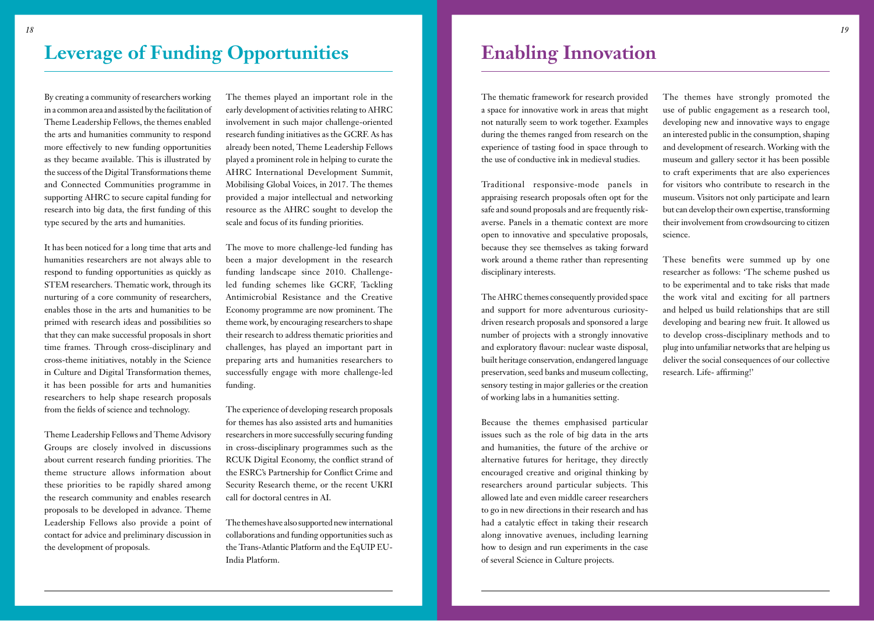## <span id="page-9-0"></span>**Leverage of Funding Opportunities**

By creating a community of researchers working in a common area and assisted by the facilitation of Theme Leadership Fellows, the themes enabled the arts and humanities community to respond more effectively to new funding opportunities as they became available. This is illustrated by the success of the Digital Transformations theme and Connected Communities programme in supporting AHRC to secure capital funding for research into big data, the first funding of this type secured by the arts and humanities.

It has been noticed for a long time that arts and humanities researchers are not always able to respond to funding opportunities as quickly as STEM researchers. Thematic work, through its nurturing of a core community of researchers, enables those in the arts and humanities to be primed with research ideas and possibilities so that they can make successful proposals in short time frames. Through cross-disciplinary and cross-theme initiatives, notably in the Science in Culture and Digital Transformation themes, it has been possible for arts and humanities researchers to help shape research proposals from the fields of science and technology.

Theme Leadership Fellows and Theme Advisory Groups are closely involved in discussions about current research funding priorities. The theme structure allows information about these priorities to be rapidly shared among the research community and enables research proposals to be developed in advance. Theme Leadership Fellows also provide a point of contact for advice and preliminary discussion in the development of proposals.

The themes played an important role in the early development of activities relating to AHRC involvement in such major challenge-oriented research funding initiatives as the GCRF. As has already been noted, Theme Leadership Fellows played a prominent role in helping to curate the AHRC International Development Summit, Mobilising Global Voices, in 2017. The themes provided a major intellectual and networking resource as the AHRC sought to develop the scale and focus of its funding priorities.

The move to more challenge-led funding has been a major development in the research funding landscape since 2010. Challengeled funding schemes like GCRF, Tackling Antimicrobial Resistance and the Creative Economy programme are now prominent. The theme work, by encouraging researchers to shape their research to address thematic priorities and challenges, has played an important part in preparing arts and humanities researchers to successfully engage with more challenge-led funding.

The experience of developing research proposals for themes has also assisted arts and humanities researchers in more successfully securing funding in cross-disciplinary programmes such as the RCUK Digital Economy, the conflict strand of the ESRC's Partnership for Conflict Crime and Security Research theme, or the recent UKRI call for doctoral centres in AI.

The themes have also supported new international collaborations and funding opportunities such as the Trans-Atlantic Platform and the EqUIP EU-India Platform.

The thematic framework for research provided a space for innovative work in areas that might not naturally seem to work together. Examples during the themes ranged from research on the experience of tasting food in space through to the use of conductive ink in medieval studies.

Traditional responsive-mode panels in appraising research proposals often opt for the safe and sound proposals and are frequently riskaverse. Panels in a thematic context are more open to innovative and speculative proposals, because they see themselves as taking forward work around a theme rather than representing disciplinary interests.

The AHRC themes consequently provided space and support for more adventurous curiositydriven research proposals and sponsored a large number of projects with a strongly innovative and exploratory flavour: nuclear waste disposal, built heritage conservation, endangered language preservation, seed banks and museum collecting, sensory testing in major galleries or the creation of working labs in a humanities setting.

Because the themes emphasised particular issues such as the role of big data in the arts and humanities, the future of the archive or alternative futures for heritage, they directly encouraged creative and original thinking by researchers around particular subjects. This allowed late and even middle career researchers to go in new directions in their research and has had a catalytic effect in taking their research along innovative avenues, including learning how to design and run experiments in the case of several Science in Culture projects.

The themes have strongly promoted the use of public engagement as a research tool, developing new and innovative ways to engage an interested public in the consumption, shaping and development of research. Working with the museum and gallery sector it has been possible to craft experiments that are also experiences for visitors who contribute to research in the museum. Visitors not only participate and learn but can develop their own expertise, transforming their involvement from crowdsourcing to citizen science.

These benefits were summed up by one researcher as follows: 'The scheme pushed us to be experimental and to take risks that made the work vital and exciting for all partners and helped us build relationships that are still developing and bearing new fruit. It allowed us to develop cross-disciplinary methods and to plug into unfamiliar networks that are helping us deliver the social consequences of our collective research. Life- affirming!'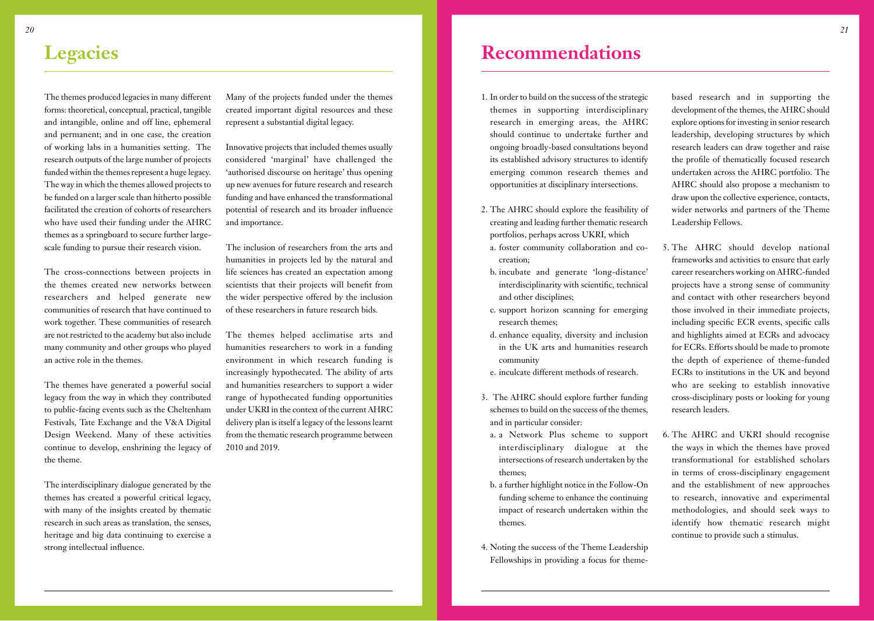#### <span id="page-10-0"></span>**Legacies**

The themes produced legacies in many different forms: theoretical, conceptual, practical, tangible and intangible, online and off line, ephemeral and permanent; and in one case, the creation of working labs in a humanities setting. The research outputs of the large number of projects funded within the themes represent a huge legacy. The way in which the themes allowed projects to be funded on a larger scale than hitherto possible facilitated the creation of cohorts of researchers who have used their funding under the AHRC themes as a springboard to secure further largescale funding to pursue their research vision.

The cross-connections between projects in the themes created new networks between researchers and helped generate new communities of research that have continued to work together. These communities of research are not restricted to the academy but also include many community and other groups who played an active role in the themes.

The themes have generated a powerful social legacy from the way in which they contributed to public-facing events such as the Cheltenham Festivals, Tate Exchange and the V&A Digital Design Weekend. Many of these activities continue to develop, enshrining the legacy of the theme.

The interdisciplinary dialogue generated by the themes has created a powerful critical legacy, with many of the insights created by thematic research in such areas as translation, the senses, heritage and big data continuing to exercise a strong intellectual influence.

Many of the projects funded under the themes created important digital resources and these represent a substantial digital legacy.

Innovative projects that included themes usually considered 'marginal' have challenged the 'authorised discourse on heritage' thus opening up new avenues for future research and research funding and have enhanced the transformational potential of research and its broader influence and importance.

The inclusion of researchers from the arts and humanities in projects led by the natural and life sciences has created an expectation among scientists that their projects will benefit from the wider perspective offered by the inclusion of these researchers in future research bids.

The themes helped acclimatise arts and humanities researchers to work in a funding environment in which research funding is increasingly hypothecated. The ability of arts and humanities researchers to support a wider range of hypothecated funding opportunities under UKRI in the context of the current AHRC delivery plan is itself a legacy of the lessons learnt from the thematic research programme between 2010 and 2019.

## **Recommendations**

- 1. In order to build on the success of the strategic themes in supporting interdisciplinary research in emerging areas, the AHRC should continue to undertake further and ongoing broadly-based consultations beyond its established advisory structures to identify emerging common research themes and opportunities at disciplinary intersections.
- 2. The AHRC should explore the feasibility of creating and leading further thematic research portfolios, perhaps across UKRI, which
- a. foster community collaboration and cocreation;
- b. incubate and generate 'long-distance' interdisciplinarity with scientific, technical and other disciplines;
- c. support horizon scanning for emerging research themes;
- d. enhance equality, diversity and inclusion in the UK arts and humanities research community
- e. inculcate different methods of research.
- 3. The AHRC should explore further funding schemes to build on the success of the themes, and in particular consider:
- a. a Network Plus scheme to support interdisciplinary dialogue at the intersections of research undertaken by the themes;
- b. a further highlight notice in the Follow-On funding scheme to enhance the continuing impact of research undertaken within the themes.
- 4. Noting the success of the Theme Leadership Fellowships in providing a focus for theme-

based research and in supporting the development of the themes, the AHRC should explore options for investing in senior research leadership, developing structures by which research leaders can draw together and raise the profile of thematically focused research undertaken across the AHRC portfolio. The AHRC should also propose a mechanism to draw upon the collective experience, contacts, wider networks and partners of the Theme Leadership Fellows.

- 5. The AHRC should develop national frameworks and activities to ensure that early career researchers working on AHRC-funded projects have a strong sense of community and contact with other researchers beyond those involved in their immediate projects, including specific ECR events, specific calls and highlights aimed at ECRs and advocacy for ECRs. Efforts should be made to promote the depth of experience of theme-funded ECRs to institutions in the UK and beyond who are seeking to establish innovative cross-disciplinary posts or looking for young research leaders.
- 6. The AHRC and UKRI should recognise the ways in which the themes have proved transformational for established scholars in terms of cross-disciplinary engagement and the establishment of new approaches to research, innovative and experimental methodologies, and should seek ways to identify how thematic research might continue to provide such a stimulus.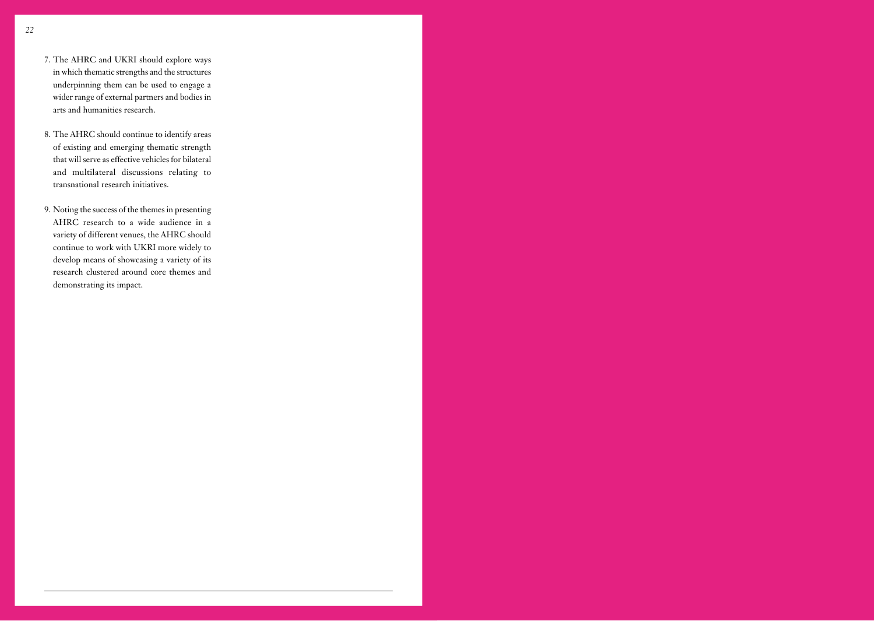- 7. The AHRC and UKRI should explore ways in which thematic strengths and the structures underpinning them can be used to engage a wider range of external partners and bodies in arts and humanities research.
- 8. The AHRC should continue to identify areas of existing and emerging thematic strength that will serve as effective vehicles for bilateral and multilateral discussions relating to transnational research initiatives.
- 9. Noting the success of the themes in presenting AHRC research to a wide audience in a variety of different venues, the AHRC should continue to work with UKRI more widely to develop means of showcasing a variety of its research clustered around core themes and demonstrating its impact.